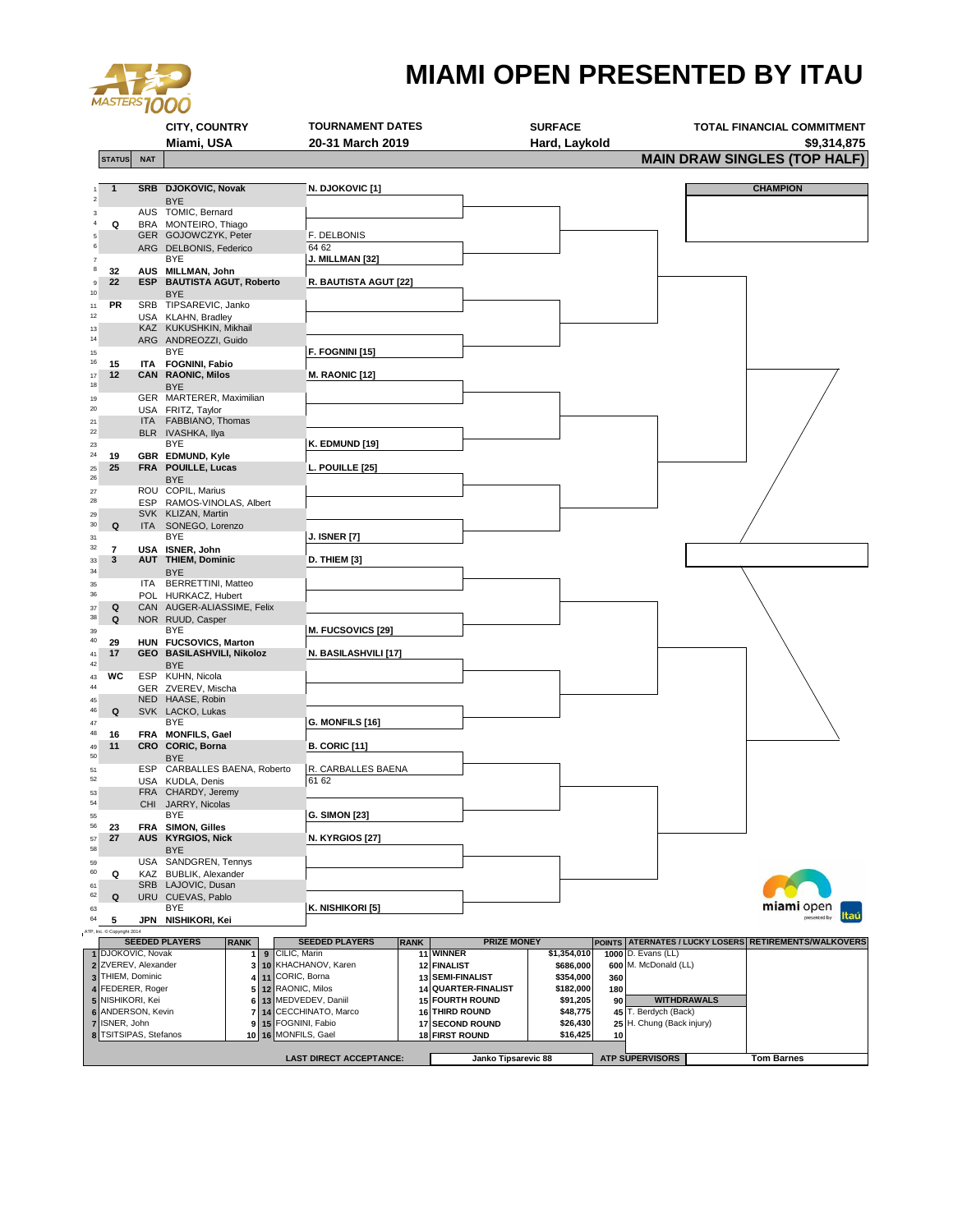

## **MIAMI OPEN PRESENTED BY ITAU**

|                                                                                         |                                                                                    |            | <b>CITY, COUNTRY</b>                             |                             | <b>TOURNAMENT DATES</b>        |                  |                          |                                                                        | <b>SURFACE</b>           |                                            |                           | <b>TOTAL FINANCIAL COMMITMENT</b>                     |
|-----------------------------------------------------------------------------------------|------------------------------------------------------------------------------------|------------|--------------------------------------------------|-----------------------------|--------------------------------|------------------|--------------------------|------------------------------------------------------------------------|--------------------------|--------------------------------------------|---------------------------|-------------------------------------------------------|
| <b>STATUS</b>                                                                           |                                                                                    |            | Miami, USA                                       |                             | 20-31 March 2019               |                  |                          |                                                                        | Hard, Laykold            |                                            |                           | \$9,314,875<br><b>MAIN DRAW SINGLES (TOP HALF)</b>    |
|                                                                                         |                                                                                    | <b>NAT</b> |                                                  |                             |                                |                  |                          |                                                                        |                          |                                            |                           |                                                       |
| $\mathbf{1}$                                                                            |                                                                                    |            | SRB DJOKOVIC, Novak                              |                             | <b>N. DJOKOVIC [1]</b>         |                  |                          |                                                                        |                          |                                            |                           | <b>CHAMPION</b>                                       |
|                                                                                         |                                                                                    |            | <b>BYE</b><br>AUS TOMIC, Bernard                 |                             |                                |                  |                          |                                                                        |                          |                                            |                           |                                                       |
| Q                                                                                       |                                                                                    |            | BRA MONTEIRO, Thiago                             |                             |                                |                  |                          |                                                                        |                          |                                            |                           |                                                       |
| 5<br>6                                                                                  |                                                                                    |            | GER GOJOWCZYK, Peter                             |                             | F. DELBONIS                    |                  |                          |                                                                        |                          |                                            |                           |                                                       |
|                                                                                         |                                                                                    |            | ARG DELBONIS, Federico<br>BYE                    |                             | 64 62<br>J. MILLMAN [32]       |                  |                          |                                                                        |                          |                                            |                           |                                                       |
| 8<br>32                                                                                 |                                                                                    |            | AUS MILLMAN, John                                |                             |                                |                  |                          |                                                                        |                          |                                            |                           |                                                       |
| 22<br>9<br>10                                                                           |                                                                                    |            | <b>ESP BAUTISTA AGUT, Roberto</b><br><b>BYE</b>  |                             | R. BAUTISTA AGUT [22]          |                  |                          |                                                                        |                          |                                            |                           |                                                       |
| PR<br>11                                                                                |                                                                                    |            | SRB TIPSAREVIC, Janko                            |                             |                                |                  |                          |                                                                        |                          |                                            |                           |                                                       |
| 12<br>13                                                                                |                                                                                    |            | USA KLAHN, Bradley<br>KAZ KUKUSHKIN, Mikhail     |                             |                                |                  |                          |                                                                        |                          |                                            |                           |                                                       |
| 14                                                                                      |                                                                                    |            | ARG ANDREOZZI, Guido                             |                             |                                |                  |                          |                                                                        |                          |                                            |                           |                                                       |
| 15<br>16<br>15                                                                          |                                                                                    |            | BYE<br>ITA FOGNINI, Fabio                        |                             | F. FOGNINI [15]                |                  |                          |                                                                        |                          |                                            |                           |                                                       |
| 12<br>17                                                                                |                                                                                    |            | <b>CAN RAONIC, Milos</b>                         |                             | <b>M. RAONIC [12]</b>          |                  |                          |                                                                        |                          |                                            |                           |                                                       |
| 18                                                                                      |                                                                                    |            | <b>BYE</b>                                       |                             |                                |                  |                          |                                                                        |                          |                                            |                           |                                                       |
| 19<br>20                                                                                |                                                                                    |            | GER MARTERER, Maximilian<br>USA FRITZ, Taylor    |                             |                                |                  |                          |                                                                        |                          |                                            |                           |                                                       |
| 21                                                                                      |                                                                                    |            | ITA FABBIANO, Thomas                             |                             |                                |                  |                          |                                                                        |                          |                                            |                           |                                                       |
| 22<br>23                                                                                |                                                                                    |            | BLR IVASHKA, Ilya<br>BYE                         |                             | <b>K. EDMUND [19]</b>          |                  |                          |                                                                        |                          |                                            |                           |                                                       |
| 24<br>19                                                                                |                                                                                    |            | GBR EDMUND, Kyle                                 |                             |                                |                  |                          |                                                                        |                          |                                            |                           |                                                       |
| 25<br>25<br>26                                                                          |                                                                                    |            | FRA POUILLE, Lucas<br><b>BYE</b>                 |                             | L. POUILLE [25]                |                  |                          |                                                                        |                          |                                            |                           |                                                       |
| 27                                                                                      |                                                                                    |            | ROU COPIL, Marius                                |                             |                                |                  |                          |                                                                        |                          |                                            |                           |                                                       |
| 28                                                                                      |                                                                                    |            | ESP RAMOS-VINOLAS, Albert<br>SVK KLIZAN, Martin  |                             |                                |                  |                          |                                                                        |                          |                                            |                           |                                                       |
| 29<br>30<br>Q                                                                           |                                                                                    |            | ITA SONEGO, Lorenzo                              |                             |                                |                  |                          |                                                                        |                          |                                            |                           |                                                       |
| 31                                                                                      |                                                                                    |            | <b>BYE</b>                                       |                             | <b>J. ISNER [7]</b>            |                  |                          |                                                                        |                          |                                            |                           |                                                       |
| 32<br>$\overline{7}$<br>3<br>33                                                         |                                                                                    |            | USA ISNER, John<br><b>AUT THIEM, Dominic</b>     |                             | D. THIEM [3]                   |                  |                          |                                                                        |                          |                                            |                           |                                                       |
| 34                                                                                      |                                                                                    |            | <b>BYE</b>                                       |                             |                                |                  |                          |                                                                        |                          |                                            |                           |                                                       |
| 35<br>36                                                                                |                                                                                    |            | ITA BERRETTINI, Matteo<br>POL HURKACZ, Hubert    |                             |                                |                  |                          |                                                                        |                          |                                            |                           |                                                       |
| Q<br>37                                                                                 |                                                                                    |            | CAN AUGER-ALIASSIME, Felix                       |                             |                                |                  |                          |                                                                        |                          |                                            |                           |                                                       |
| 38<br>Q<br>39                                                                           |                                                                                    |            | NOR RUUD, Casper<br><b>BYE</b>                   |                             | M. FUCSOVICS [29]              |                  |                          |                                                                        |                          |                                            |                           |                                                       |
| 40<br>29                                                                                |                                                                                    |            | HUN FUCSOVICS, Marton                            |                             |                                |                  |                          |                                                                        |                          |                                            |                           |                                                       |
| 17<br>41<br>42                                                                          |                                                                                    |            | GEO BASILASHVILI, Nikoloz                        |                             | N. BASILASHVILI [17]           |                  |                          |                                                                        |                          |                                            |                           |                                                       |
| 43                                                                                      | wc                                                                                 |            | <b>BYE</b><br>ESP KUHN, Nicola                   |                             |                                |                  |                          |                                                                        |                          |                                            |                           |                                                       |
| 44                                                                                      |                                                                                    |            | GER ZVEREV, Mischa                               |                             |                                |                  |                          |                                                                        |                          |                                            |                           |                                                       |
| 45<br>46<br>Q                                                                           |                                                                                    |            | NED HAASE, Robin<br>SVK LACKO, Lukas             |                             |                                |                  |                          |                                                                        |                          |                                            |                           |                                                       |
| 47                                                                                      |                                                                                    |            | BYE                                              |                             | G. MONFILS [16]                |                  |                          |                                                                        |                          |                                            |                           |                                                       |
| 48<br>16<br>11<br>49                                                                    |                                                                                    |            | FRA MONFILS, Gael<br>CRO CORIC, Borna            |                             | <b>B. CORIC [11]</b>           |                  |                          |                                                                        |                          |                                            |                           |                                                       |
| 50                                                                                      |                                                                                    |            | BYE                                              |                             |                                |                  |                          |                                                                        |                          |                                            |                           |                                                       |
| 51<br>52                                                                                |                                                                                    |            | ESP CARBALLES BAENA, Roberto<br>USA KUDLA, Denis |                             | R. CARBALLES BAENA<br>61 62    |                  |                          |                                                                        |                          |                                            |                           |                                                       |
| 53                                                                                      |                                                                                    |            | FRA CHARDY, Jeremy                               |                             |                                |                  |                          |                                                                        |                          |                                            |                           |                                                       |
| 54                                                                                      |                                                                                    |            | CHI JARRY, Nicolas<br>BYE                        |                             | <b>G. SIMON [23]</b>           |                  |                          |                                                                        |                          |                                            |                           |                                                       |
| 55<br>56<br>23                                                                          |                                                                                    |            | FRA SIMON, Gilles                                |                             |                                |                  |                          |                                                                        |                          |                                            |                           |                                                       |
| 27<br>57                                                                                |                                                                                    |            | AUS KYRGIOS, Nick                                |                             | <b>N. KYRGIOS [27]</b>         |                  |                          |                                                                        |                          |                                            |                           |                                                       |
| 58<br>59                                                                                |                                                                                    |            | <b>BYE</b><br>USA SANDGREN, Tennys               |                             |                                |                  |                          |                                                                        |                          |                                            |                           |                                                       |
| 60<br>Q                                                                                 |                                                                                    |            | KAZ BUBLIK, Alexander                            |                             |                                |                  |                          |                                                                        |                          |                                            |                           |                                                       |
| 61<br>62<br>Q                                                                           |                                                                                    |            | SRB LAJOVIC, Dusan<br>URU CUEVAS, Pablo          |                             |                                |                  |                          |                                                                        |                          |                                            |                           |                                                       |
| 63                                                                                      |                                                                                    |            | BYE                                              |                             | K. NISHIKORI [5]               |                  |                          |                                                                        |                          |                                            |                           | <b>miami</b> open<br>Itau                             |
| 64<br>5<br>ATP, Inc. C Copyright 2014                                                   |                                                                                    |            | JPN NISHIKORI, Kei                               |                             |                                |                  |                          |                                                                        |                          |                                            |                           |                                                       |
|                                                                                         |                                                                                    |            | <b>SEEDED PLAYERS</b>                            | <b>RANK</b>                 | <b>SEEDED PLAYERS</b>          | <b>RANK</b>      |                          | <b>PRIZE MONEY</b>                                                     |                          |                                            |                           | POINTS ATERNATES / LUCKY LOSERS RETIREMENTS/WALKOVERS |
| 1 DJOKOVIC, Novak<br>$\overline{2}$                                                     |                                                                                    |            |                                                  | CILIC, Marin<br>9<br>1<br>3 | 10 KHACHANOV, Karen            |                  | 11 WINNER<br>12 FINALIST |                                                                        | \$1,354,010<br>\$686,000 | 1000 D. Evans (LL)<br>600 M. McDonald (LL) |                           |                                                       |
| ZVEREV, Alexander<br>11 CORIC, Borna<br>THIEM, Dominic<br>$\overline{\mathbf{3}}$<br>41 |                                                                                    |            |                                                  |                             |                                | 13 SEMI-FINALIST | \$354,000                | 360                                                                    |                          |                                            |                           |                                                       |
|                                                                                         | 4 FEDERER, Roger<br>12 RAONIC, Milos<br>5 <sub>1</sub><br>NISHIKORI, Kei<br>5<br>6 |            |                                                  | 13 MEDVEDEV, Daniil         |                                |                  | 14 QUARTER-FINALIST      | \$182,000                                                              | 180                      | <b>WITHDRAWALS</b>                         |                           |                                                       |
| 6                                                                                       | ANDERSON, Kevin<br>7                                                               |            |                                                  |                             | 14 CECCHINATO, Marco           |                  |                          | <b>15 FOURTH ROUND</b><br>\$91,205<br>90<br>16 THIRD ROUND<br>\$48,775 |                          |                                            | 45 T. Berdych (Back)      |                                                       |
| $\overline{7}$                                                                          | ISNER, John<br>8 TSITSIPAS, Stefanos                                               |            |                                                  | 15 FOGNINI, Fabio<br>9      |                                | 17               |                          | <b>SECOND ROUND</b>                                                    | \$26,430<br>\$16,425     |                                            | 25 H. Chung (Back injury) |                                                       |
| 10 16 MONFILS, Gael                                                                     |                                                                                    |            |                                                  |                             |                                |                  |                          | <b>18 FIRST ROUND</b>                                                  |                          | 10                                         |                           |                                                       |
|                                                                                         |                                                                                    |            |                                                  |                             | <b>LAST DIRECT ACCEPTANCE:</b> |                  |                          | Janko Tipsarevic 88                                                    |                          | <b>ATP SUPERVISORS</b>                     |                           | <b>Tom Barnes</b>                                     |